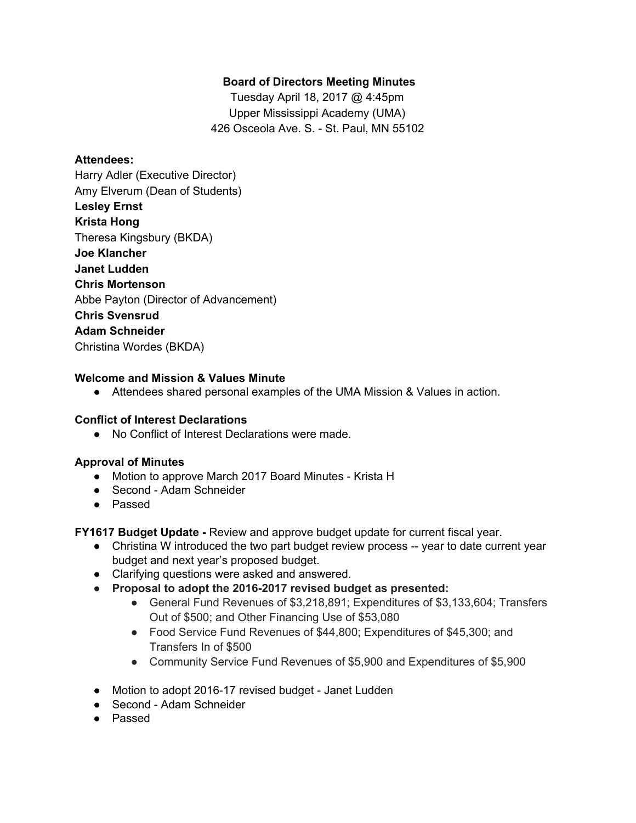# **Board of Directors Meeting Minutes**

Tuesday April 18, 2017 @ 4:45pm Upper Mississippi Academy (UMA) 426 Osceola Ave. S. - St. Paul, MN 55102

#### **Attendees:**

Harry Adler (Executive Director) Amy Elverum (Dean of Students) **Lesley Ernst Krista Hong** Theresa Kingsbury (BKDA) **Joe Klancher Janet Ludden Chris Mortenson** Abbe Payton (Director of Advancement) **Chris Svensrud Adam Schneider** Christina Wordes (BKDA)

#### **Welcome and Mission & Values Minute**

● Attendees shared personal examples of the UMA Mission & Values in action.

### **Conflict of Interest Declarations**

● No Conflict of Interest Declarations were made.

### **Approval of Minutes**

- Motion to approve March 2017 Board Minutes Krista H
- Second Adam Schneider
- Passed

**FY1617 Budget Update -** Review and approve budget update for current fiscal year.

- Christina W introduced the two part budget review process -- year to date current year budget and next year's proposed budget.
- Clarifying questions were asked and answered.
- **● Proposal to adopt the 2016-2017 revised budget as presented:**
	- General Fund Revenues of \$3,218,891; Expenditures of \$3,133,604; Transfers Out of \$500; and Other Financing Use of \$53,080
	- Food Service Fund Revenues of \$44,800; Expenditures of \$45,300; and Transfers In of \$500
	- Community Service Fund Revenues of \$5,900 and Expenditures of \$5,900
- Motion to adopt 2016-17 revised budget Janet Ludden
- Second Adam Schneider
- Passed